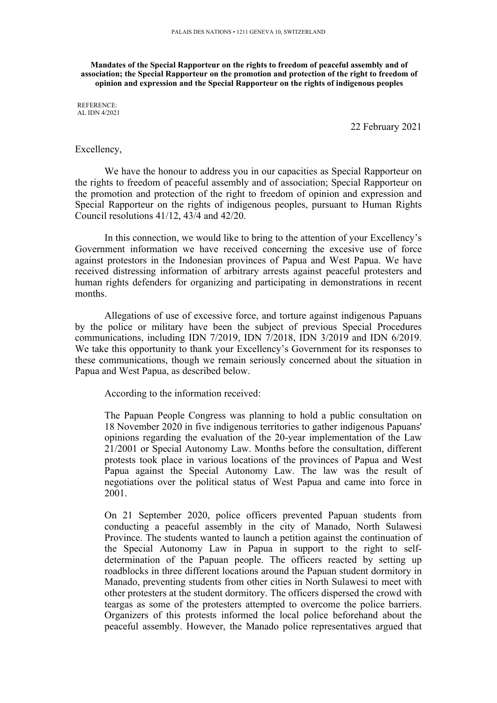**Mandates of the Special Rapporteur on the rights to freedom of peaceful assembly and of association; the Special Rapporteur on the promotion and protection of the right to freedom of opinion and expression and the Special Rapporteur on the rights of indigenous peoples**

REFERENCE: AL IDN 4/2021

22 February 2021

## Excellency,

We have the honour to address you in our capacities as Special Rapporteur on the rights to freedom of peaceful assembly and of association; Special Rapporteur on the promotion and protection of the right to freedom of opinion and expression and Special Rapporteur on the rights of indigenous peoples, pursuan<sup>t</sup> to Human Rights Council resolutions 41/12, 43/4 and 42/20.

In this connection, we would like to bring to the attention of your Excellency'<sup>s</sup> Government information we have received concerning the excesive use of force against protestors in the Indonesian provinces of Papua and West Papua. We have received distressing information of arbitrary arrests against peaceful protesters and human rights defenders for organizing and participating in demonstrations in recent months.

Allegations of use of excessive force, and torture against indigenous Papuans by the police or military have been the subject of previous Special Procedures communications, including IDN 7/2019, IDN 7/2018, IDN 3/2019 and IDN 6/2019. We take this opportunity to thank your Excellency'<sup>s</sup> Government for its responses to these communications, though we remain seriously concerned about the situation in Papua and West Papua, as described below.

According to the information received:

The Papuan People Congress was planning to hold <sup>a</sup> public consultation on 18 November 2020 in five indigenous territories to gather indigenous Papuans' opinions regarding the evaluation of the 20-year implementation of the Law 21/2001 or Special Autonomy Law. Months before the consultation, different protests took place in various locations of the provinces of Papua and West Papua against the Special Autonomy Law. The law was the result of negotiations over the political status of West Papua and came into force in 2001.

On 21 September 2020, police officers prevented Papuan students from conducting <sup>a</sup> peaceful assembly in the city of Manado, North Sulawesi Province. The students wanted to launch <sup>a</sup> petition against the continuation of the Special Autonomy Law in Papua in suppor<sup>t</sup> to the right to selfdetermination of the Papuan people. The officers reacted by setting up roadblocks in three different locations around the Papuan student dormitory in Manado, preventing students from other cities in North Sulawesi to meet with other protesters at the student dormitory. The officers dispersed the crowd with teargas as some of the protesters attempted to overcome the police barriers. Organizers of this protests informed the local police beforehand about the peaceful assembly. However, the Manado police representatives argued that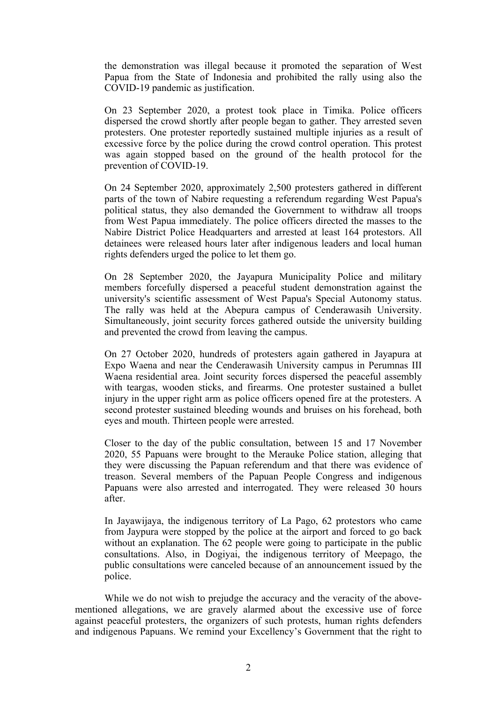the demonstration was illegal because it promoted the separation of West Papua from the State of Indonesia and prohibited the rally using also the COVID-19 pandemic as justification.

On 23 September 2020, <sup>a</sup> protest took place in Timika. Police officers dispersed the crowd shortly after people began to gather. They arrested seven protesters. One protester reportedly sustained multiple injuries as <sup>a</sup> result of excessive force by the police during the crowd control operation. This protest was again stopped based on the ground of the health protocol for the prevention of COVID-19.

On 24 September 2020, approximately 2,500 protesters gathered in different parts of the town of Nabire requesting <sup>a</sup> referendum regarding West Papua's political status, they also demanded the Government to withdraw all troops from West Papua immediately. The police officers directed the masses to the Nabire District Police Headquarters and arrested at least 164 protestors. All detainees were released hours later after indigenous leaders and local human rights defenders urged the police to let them go.

On 28 September 2020, the Jayapura Municipality Police and military members forcefully dispersed <sup>a</sup> peaceful student demonstration against the university's scientific assessment of West Papua's Special Autonomy status. The rally was held at the Abepura campus of Cenderawasih University. Simultaneously, joint security forces gathered outside the university building and prevented the crowd from leaving the campus.

On 27 October 2020, hundreds of protesters again gathered in Jayapura at Expo Waena and near the Cenderawasih University campus in Perumnas III Waena residential area. Joint security forces dispersed the peaceful assembly with teargas, wooden sticks, and firearms. One protester sustained <sup>a</sup> bullet injury in the upper right arm as police officers opened fire at the protesters. A second protester sustained bleeding wounds and bruises on his forehead, both eyes and mouth. Thirteen people were arrested.

Closer to the day of the public consultation, between 15 and 17 November 2020, 55 Papuans were brought to the Merauke Police station, alleging that they were discussing the Papuan referendum and that there was evidence of treason. Several members of the Papuan People Congress and indigenous Papuans were also arrested and interrogated. They were released 30 hours after.

In Jayawijaya, the indigenous territory of La Pago, 62 protestors who came from Jaypura were stopped by the police at the airport and forced to go back without an explanation. The 62 people were going to participate in the public consultations. Also, in Dogiyai, the indigenous territory of Meepago, the public consultations were canceled because of an announcement issued by the police.

While we do not wish to prejudge the accuracy and the veracity of the abovementioned allegations, we are gravely alarmed about the excessive use of force against peaceful protesters, the organizers of such protests, human rights defenders and indigenous Papuans. We remind your Excellency'<sup>s</sup> Government that the right to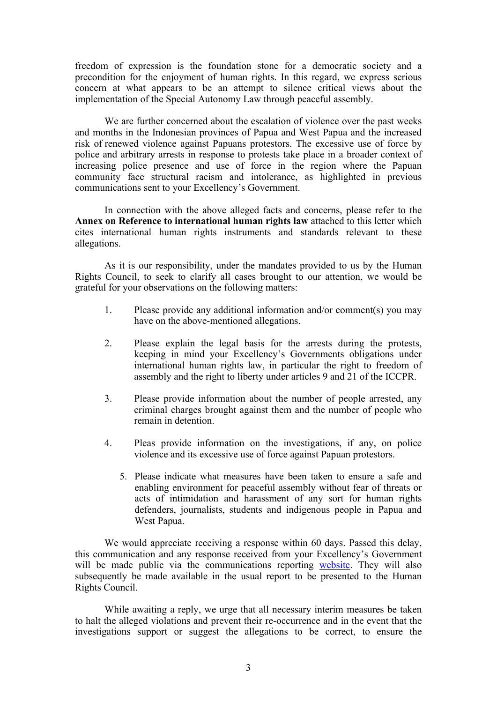freedom of expression is the foundation stone for <sup>a</sup> democratic society and <sup>a</sup> precondition for the enjoyment of human rights. In this regard, we express serious concern at what appears to be an attempt to silence critical views about the implementation of the Special Autonomy Law through peaceful assembly.

We are further concerned about the escalation of violence over the pas<sup>t</sup> weeks and months in the Indonesian provinces of Papua and West Papua and the increased risk of renewed violence against Papuans protestors. The excessive use of force by police and arbitrary arrests in response to protests take place in <sup>a</sup> broader context of increasing police presence and use of force in the region where the Papuan community face structural racism and intolerance, as highlighted in previous communications sent to your Excellency'<sup>s</sup> Government.

In connection with the above alleged facts and concerns, please refer to the **Annex on Reference to international human rights law** attached to this letter which cites international human rights instruments and standards relevant to these allegations.

As it is our responsibility, under the mandates provided to us by the Human Rights Council, to seek to clarify all cases brought to our attention, we would be grateful for your observations on the following matters:

- 1. Please provide any additional information and/or comment(s) you may have on the above-mentioned allegations.
- 2. Please explain the legal basis for the arrests during the protests, keeping in mind your Excellency'<sup>s</sup> Governments obligations under international human rights law, in particular the right to freedom of assembly and the right to liberty under articles 9 and 21 of the ICCPR.
- 3. Please provide information about the number of people arrested, any criminal charges brought against them and the number of people who remain in detention.
- 4. Pleas provide information on the investigations, if any, on police violence and its excessive use of force against Papuan protestors.
	- 5. Please indicate what measures have been taken to ensure <sup>a</sup> safe and enabling environment for peaceful assembly without fear of threats or acts of intimidation and harassment of any sort for human rights defenders, journalists, students and indigenous people in Papua and West Papua.

We would appreciate receiving <sup>a</sup> response within 60 days. Passed this delay, this communication and any response received from your Excellency'<sup>s</sup> Government will be made public via the communications reporting [website](https://spcommreports.ohchr.org/). They will also subsequently be made available in the usual repor<sup>t</sup> to be presented to the Human Rights Council.

While awaiting <sup>a</sup> reply, we urge that all necessary interim measures be taken to halt the alleged violations and preven<sup>t</sup> their re-occurrence and in the event that the investigations suppor<sup>t</sup> or sugges<sup>t</sup> the allegations to be correct, to ensure the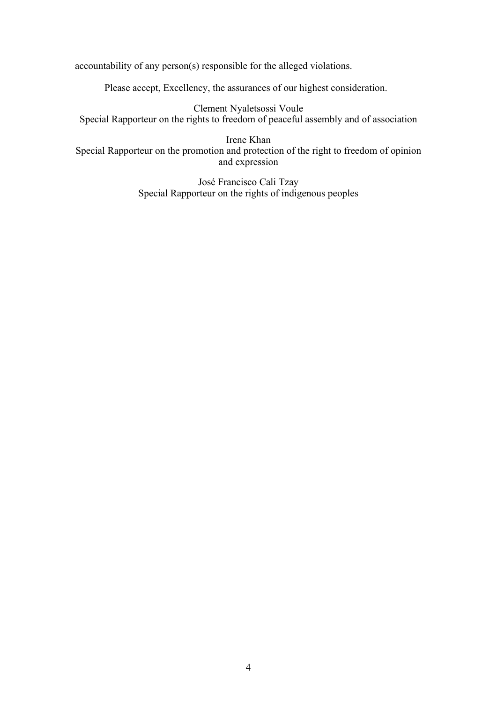accountability of any person(s) responsible for the alleged violations.

Please accept, Excellency, the assurances of our highest consideration.

Clement Nyaletsossi Voule Special Rapporteur on the rights to freedom of peaceful assembly and of association

Irene Khan Special Rapporteur on the promotion and protection of the right to freedom of opinion and expression

> José Francisco Cali Tzay Special Rapporteur on the rights of indigenous peoples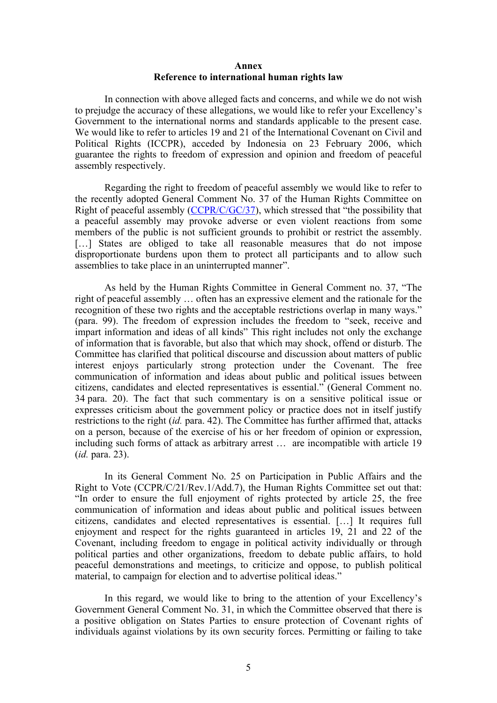## **Annex Reference to international human rights law**

In connection with above alleged facts and concerns, and while we do not wish to prejudge the accuracy of these allegations, we would like to refer your Excellency'<sup>s</sup> Government to the international norms and standards applicable to the presen<sup>t</sup> case. We would like to refer to articles 19 and 21 of the International Covenant on Civil and Political Rights (ICCPR), acceded by Indonesia on 23 February 2006, which guarantee the rights to freedom of expression and opinion and freedom of peaceful assembly respectively.

Regarding the right to freedom of peaceful assembly we would like to refer to the recently adopted General Comment No. 37 of the Human Rights Committee on Right of peaceful assembly ([CCPR/C/GC/37](https://tbinternet.ohchr.org/_layouts/15/treatybodyexternal/TBSearch.aspx?Lang=en&TreatyID=8&DocTypeID=11)), which stressed that "the possibility that <sup>a</sup> peaceful assembly may provoke adverse or even violent reactions from some members of the public is not sufficient grounds to prohibit or restrict the assembly. [...] States are obliged to take all reasonable measures that do not impose disproportionate burdens upon them to protect all participants and to allow such assemblies to take place in an uninterrupted manner".

As held by the Human Rights Committee in General Comment no. 37, "The right of peaceful assembly … often has an expressive element and the rationale for the recognition of these two rights and the acceptable restrictions overlap in many ways." (para. 99). The freedom of expression includes the freedom to "seek, receive and impart information and ideas of all kinds" This right includes not only the exchange of information that is favorable, but also that which may shock, offend or disturb. The Committee has clarified that political discourse and discussion about matters of public interest enjoys particularly strong protection under the Covenant. The free communication of information and ideas about public and political issues between citizens, candidates and elected representatives is essential." (General Comment no. 34 para. 20). The fact that such commentary is on <sup>a</sup> sensitive political issue or expresses criticism about the governmen<sup>t</sup> policy or practice does not in itself justify restrictions to the right (*id.* para. 42). The Committee has further affirmed that, attacks on <sup>a</sup> person, because of the exercise of his or her freedom of opinion or expression, including such forms of attack as arbitrary arrest … are incompatible with article 19 (*id.* para. 23).

In its General Comment No. 25 on Participation in Public Affairs and the Right to Vote (CCPR/C/21/Rev.1/Add.7), the Human Rights Committee set out that: "In order to ensure the full enjoyment of rights protected by article 25, the free communication of information and ideas about public and political issues between citizens, candidates and elected representatives is essential. […] It requires full enjoyment and respec<sup>t</sup> for the rights guaranteed in articles 19, 21 and 22 of the Covenant, including freedom to engage in political activity individually or through political parties and other organizations, freedom to debate public affairs, to hold peaceful demonstrations and meetings, to criticize and oppose, to publish political material, to campaign for election and to advertise political ideas."

In this regard, we would like to bring to the attention of your Excellency'<sup>s</sup> Government General Comment No. 31, in which the Committee observed that there is <sup>a</sup> positive obligation on States Parties to ensure protection of Covenant rights of individuals against violations by its own security forces. Permitting or failing to take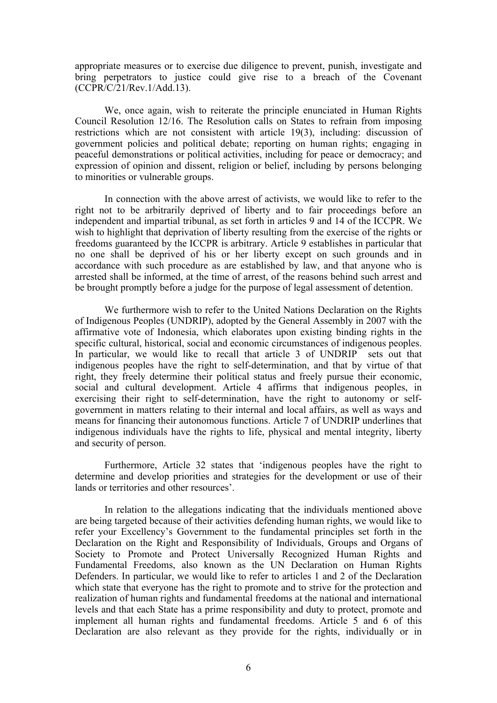appropriate measures or to exercise due diligence to prevent, punish, investigate and bring perpetrators to justice could give rise to a breach of the Covenant (CCPR/C/21/Rev.1/Add.13).

We, once again, wish to reiterate the principle enunciated in Human Rights Council Resolution 12/16. The Resolution calls on States to refrain from imposing restrictions which are not consistent with article 19(3), including: discussion of governmen<sup>t</sup> policies and political debate; reporting on human rights; engaging in peaceful demonstrations or political activities, including for peace or democracy; and expression of opinion and dissent, religion or belief, including by persons belonging to minorities or vulnerable groups.

In connection with the above arrest of activists, we would like to refer to the right not to be arbitrarily deprived of liberty and to fair proceedings before an independent and impartial tribunal, as set forth in articles 9 and 14 of the ICCPR. We wish to highlight that deprivation of liberty resulting from the exercise of the rights or freedoms guaranteed by the ICCPR is arbitrary. Article 9 establishes in particular that no one shall be deprived of his or her liberty excep<sup>t</sup> on such grounds and in accordance with such procedure as are established by law, and that anyone who is arrested shall be informed, at the time of arrest, of the reasons behind such arrest and be brought promptly before <sup>a</sup> judge for the purpose of legal assessment of detention.

We furthermore wish to refer to the United Nations Declaration on the Rights of Indigenous Peoples (UNDRIP), adopted by the General Assembly in 2007 with the affirmative vote of Indonesia, which elaborates upon existing binding rights in the specific cultural, historical, social and economic circumstances of indigenous peoples. In particular, we would like to recall that article 3 of UNDRIP sets out that indigenous peoples have the right to self-determination, and that by virtue of that right, they freely determine their political status and freely pursue their economic, social and cultural development. Article 4 affirms that indigenous peoples, in exercising their right to self-determination, have the right to autonomy or selfgovernmen<sup>t</sup> in matters relating to their internal and local affairs, as well as ways and means for financing their autonomous functions. Article 7 of UNDRIP underlines that indigenous individuals have the rights to life, physical and mental integrity, liberty and security of person.

Furthermore, Article 32 states that 'indigenous peoples have the right to determine and develop priorities and strategies for the development or use of their lands or territories and other resources'.

In relation to the allegations indicating that the individuals mentioned above are being targeted because of their activities defending human rights, we would like to refer your Excellency'<sup>s</sup> Government to the fundamental principles set forth in the Declaration on the Right and Responsibility of Individuals, Groups and Organs of Society to Promote and Protect Universally Recognized Human Rights and Fundamental Freedoms, also known as the UN Declaration on Human Rights Defenders. In particular, we would like to refer to articles 1 and 2 of the Declaration which state that everyone has the right to promote and to strive for the protection and realization of human rights and fundamental freedoms at the national and international levels and that each State has <sup>a</sup> prime responsibility and duty to protect, promote and implement all human rights and fundamental freedoms. Article 5 and 6 of this Declaration are also relevant as they provide for the rights, individually or in